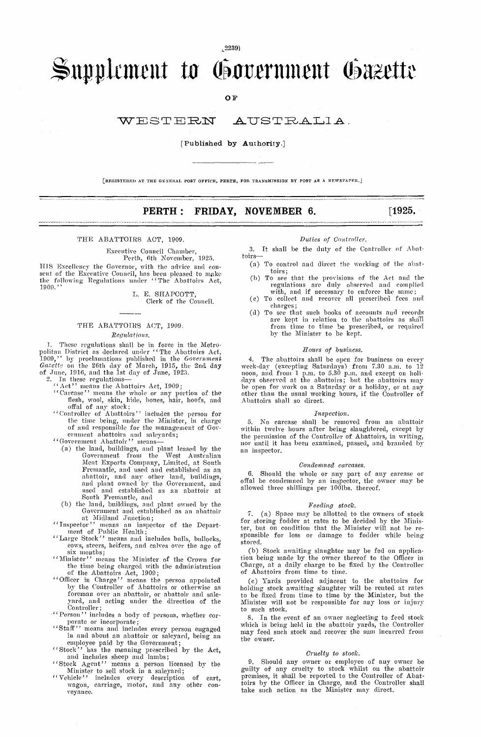$, 2239)$ 

# Supplement to Government Gazette

**OF** 

#### WESTERN AUSTRALIA.

### [Published by Authority.]

[REGISTERED AT THE GENERAL POST OFFICE, PERTH, FOR TRANSMISSION BY POST AS A NEWSPAPER.

# PERTH: FRIDAY, NOVEMBER 6.

 $[1925,$ 

#### THE ABATTOIRS ACT, 1909.

Executive Council Chamber,<br>Perth, 6th November, 1925.

HIS Excellency the Governor, with the advice and consent of the Excentive Council, has been pleased to make the following Regulations under "The Abattoirs Act,  $1909.$ '

> L. E. SHAPCOTT. Clerk of the Council.

# THE ABATTOIRS ACT, 1909.

Requlations.

*Kegutations*.<br> *Kegutations*.<br>
1. These regulations shall be in force in the Metro-<br>
politan District as declared under "The Abattoirs Act,<br>
1909," by proclamations published in the *Government*<br>  $Gaseute$  on the 26th day of

- 
- 
- 
- the time being, under the Minister, in charge<br>of and responsible for the management of Gov-
- 
- ernment abattoirs and saleyards;<br>
"Government abattoirs" means—<br>
(a) the land, buildings, and plant leased by the<br>
"Government from the West Australian<br>
Meat Exports Company, Limited, at South<br>
"Meat Exports" Fremantle, and used and established as an Fremantie, and used and established as an<br>abattoir, and any other land, buildings,<br>and plant owned by the Government, and<br>used and established as an abattoir at<br>South Fremantie, and<br>(b) the land, buildings, and plant owned
- at Midland Junction;<br>"Inspector" means an inspect
- "Inspector" means an inspector of the Depart-<br>ment of Public Health;<br>"Large Stock" means and includes bulls, bullocks,
- cows, steers, heifers, and calves over the age of
- erows, steers, neuers, and carres over the tige of<br>six months;<br>"Six means the Minister of the Crown for<br>the time being charged with the administration<br>of the Abattoirs Act, 1909;<br>"Officer in Charge" means the person appoin
- by the Controller of Abattoirs or otherwise as foreman over an abattoir, or abattoir and sale-<br>yard, and acting under the direction of the Controller;
- "Person" includes a body of persons, whether cor-
- "Person" includes a body of persons, whether cor-<br>porate or incorporate;<br>"Staff" means and includes every person engaged<br>in and about an abattoir or saleyard, being an<br>employee paid by the Government;<br>"Stock" has the meani
- 
- 
- Minister to sell stock in a saleyard;<br>
"Vehicle" includes every description of cart,<br>
wagon, carriage, motor, and any other conveyance.

#### Duties of Controller.

3. It shall be the duty of the Controller of Abattoirs-

- (a) To control and direct the working of the abat-
- (b) To see that the provisions of the Act and the<br>regulations are duly observed and complied<br>with, and if necessary to enforce the same;<br>(c) To collect and recover all prescribed fees and
- 
- charges;<br>(d) To see that such books of accounts and records are kept in relation to the abattoirs as shall from time to time be prescribed, or required by the Minister to be kept.

#### Hours of business.

4. The abattoirs shall be open for business on every week-day (excepting Saturdays) from 7.30 a.m. to 12 noon, and from 1 p.m. to 5.30 p.m. and except on holidays observed at the abattoirs; but the abattoirs may be open for work on a Saturday or a holiday, or at any other than the usual working hours, if the Controller of Aba

#### Inspection.

5. No carease shall be removed from an abattoir<br>within twelve hours after being slaughtered, except by<br>the permission of the Controller of Abattoirs, in writing, nor until it has been examined, passed, and branded by an inspector.

#### Condemned carcases.

6 Should the whole or any part of any carcase or offal be condemned by an inspector, the owner may be allowed three shillings per 100lbs. thereof.

#### Feeding stock.

7. (a) Space may be allotted to the owners of stock for storing fodder at rates to be decided by the Minister, but on condition that the Minister will not be responsible for loss or damage to fodder while being stored.

(b) Stock awaiting slaughter may be fed on application being made by the owner thereof to the Officer in Charge, at a daily charge to be fixed by the Controller of Abattoirs from time to time.

(e) Yards provided adjacent to the abattoirs for<br>holding stock awaiting slaughter will be rented at rates<br>to be fixed from time to time by the Minister, but the<br>Minister will not be responsible for any loss or injury to such stock.

8. In the event of an owner neglecting to feed stock which is being held in the abattoir yards, the Controller may feed such stock and recover the sum incurred from the owner.

#### $\label{thm:cru} \textit{Cruely to stock.}$

9. Should any owner or employee of any owner be guilty of any cruelty to stock whilst on the abattoir premises, it shall be reported to the Controller of Abat-<br>toirs by the Officer in Charge, and the Controller shall take such action as the Minister may direct.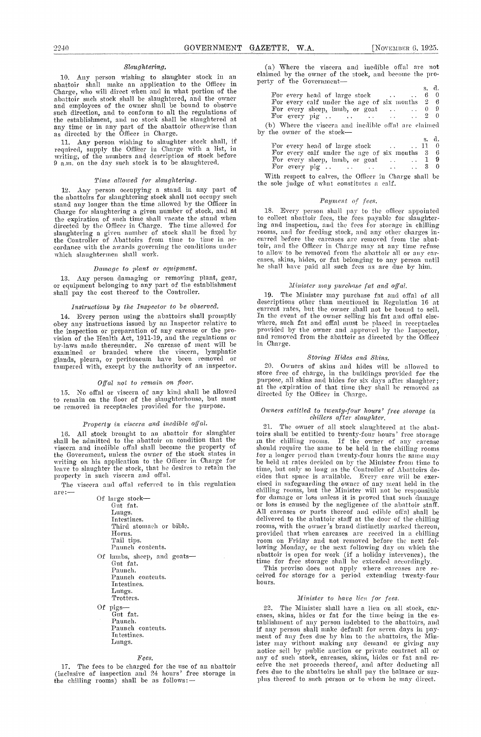#### Slaughtering.

10. Any person wishing to slaughter stock in an claimed by the owner of the Governmentabattoir shall make an application to the Officer in Charge, who will direct when and in what portion of the abattoir such stock shall be slaughtered, and the owner and employees of the owner shall be bound to observe such direction, and to conform to all the regulations of the establishment, and no stock shall be slaughtered at any time or in any part of the abattoir otherwise than as directed by the Officer in Charge.

11. Any person wishing to slaughter stock shall, if required, supply the Officer in Charge with a list, in writing, of the numbers and description of stock before 9 a.m. on the clay such stock is to be slaughtered.

#### Time allowed for slaughtering.

12. Any person occupying a stand in any part of the abattoirs for slaughtering stock shall not occupy such stand any longer than the time allowed by the Officer in Charge for slaughtering a given number of stock, and at 18. the expiration of such time shall vacate the stand when directed by the Officer in Charge. The time allowed for slaughtering a given number of stock shall be fixed by the Controller of Abattoirs from time to time in accordance with the awards governing the 'conditions under which slaughtermen shall work.

#### Damage to plant or equipment.

13. Any person damaging or removing plant, gear, or equipment belonging to any part of the establishment shall pay the cost thereof to the Controller.

#### Instructions by the Inspector to be observed.

14. Every person using the abattoirs shall promptly obey any instructions issued by an Inspector relative to the inspection or preparation of any carcase or the provision of the Health Act, 1911-19, and the regulations or by-laws made thereunder. No carcase of meat will be examined or branded where the viscera, lymphatic glands, pleura, or peritoneum have been removed or tampered with, except by the authority of an inspector.

#### Offal not to remain on floor.

15. No offal or viscera of any kind shall be allowed direct to remain on the floor of the slaughterhouse, but must Pe removed in receptacles provided for the purpose.

# Property in viscera and inedible offal.

16. All stock brought to an abattoir for slaughter shall be admitted to the abattoir on condition that the viscera and inedible offal shall become the property of the Government, unless the owner of the stock states in writing on his application to the Officer in Charge for leave to slaughter the stock, that he desires to retain the property in such viscera and offal.

| Of large stock---                                                                               |  |
|-------------------------------------------------------------------------------------------------|--|
| Gut fat.                                                                                        |  |
| Lungs.                                                                                          |  |
| Intestines.                                                                                     |  |
| Third stomach or bible.                                                                         |  |
| Horns.                                                                                          |  |
| Tail tips.                                                                                      |  |
| Paunch contents.                                                                                |  |
| Of lambs, sheep, and goats—<br>Gut fat.<br>Paunch.<br>Paunch contents.<br>Intestines.<br>Lungs. |  |
| Trotters.                                                                                       |  |
| Of pigs—<br>Gut fat.                                                                            |  |

Paunch. Paunch contents. Intestines. Lungs.

#### Fees.

17. The fees to be charged for the use of an abattoir ceive (inclusive of inspection and 24 hours' free storage in fees of the chilling rooms) shall be as follows:

(a) Where the viscera and inedible offal are not claimed by the owner of the stock, and become the pro-

|                                                                | s. a.  |
|----------------------------------------------------------------|--------|
| For every head of large stock $\ldots$ $\ldots$ 6 0            |        |
| For every calf under the age of six months $2\quad6$           |        |
| For every sheep, lamb, or goat $\ldots$ $\ldots$ 0 9           |        |
| For every pig $\ldots$ $\ldots$ $\ldots$ $\ldots$ $\qquad$ 2 0 |        |
| (b) Where the viscera and inedible offal are claimed           |        |
| by the owner of the stock—                                     |        |
|                                                                | s. d.  |
| For every head of large stock $\ldots$ $\ldots$ 11 0           |        |
| For every calf under the age of six months 3 6                 |        |
|                                                                | $\sim$ |

| For every calf under the age of six months 3 6         |  |
|--------------------------------------------------------|--|
| For every sheep, lamb, or goat $\dots$ $\ldots$ 1 9    |  |
|                                                        |  |
| With recorded to colver the Officer in Charge shall be |  |

With respect to calves, the Officer in Charge shall be the sole judge of what constitutes a calf.

#### Payment of fees.

18. Every person shall pay to the officer appointed to collect abattoir fees, the fees payable for slaughtering and inspection, and the fees for storage in chilling rooms, and for feeding stock, and any other charges in- curred before the carcases are removed from the abattoir, and the Officer in Charge may at any time refuse<br>to allow to be removed from the abattoir all or any carcases, skins, hides, or fat belonging to any person until he shall have paid all such fees as are due by him.

# Minister may purchase fat and offal.

19. The Minister may purchase fat and offal of all descriptions other than mentioned in Regulation 16 at current rates, but the owner shall not be bound to sell. In the event of the owner selling his fat and offal else- where, such fat and offal must be placed in receptacles provided by the owner and approved by the Inspector, and removed from the abattoir as directed by the Officer and removed from the abattoir as directed by the Officer<br>in Charge.

#### Storing Hides and Skins.

20. Owners of skins and hides will be allowed to store free of charge, in the buildings provided for the purpose, all skins and hides for six days after slaughter; at the expiration of that time they shall be removed as directed by the Officer in Charge.

#### Owners entitled to twenty-four hours' free storage in chillers after slaughter.

The viscera and offal referred to in this regulation are:  $\begin{array}{c} \text{the size} \rightarrow \text{the number of } \text{the number of } \text{the number of } \text{the number of } \text{the number of } \text{the number of } \text{the number of } \text{the number of } \text{the number of } \text{the number of } \text{the number of } \text{the number of } \text{the number of } \text{the number of } \text{the number of } \text{the number of } \text{the number of } \text{the number of } \text{the number of } \text{the number of } \text{the number of } \$ 21. The owner of all stock slaughtered at the abattoirs shall be entitled to twenty-four hours' free storage in the chilling rooms. If the owner of any carcase should require the same to be held in the chilling rooms for a longer period than twenty-four hours the same may be held at rates decided on by the Minister from time to time, but only so long as the Controller of Abattoirs decides that space is available. Every care will be exercised in safeguarding the owner of any meat held in the chilling rooms, but the Minister will not be responsible cised in safeguarding the owner of any meat held in the cised in safeguarding the owner of any meat held in the chilling rooms, but the Minister will not be responsible for damage or loss unless it is proved that such dama provided that when carcases are received in a chilling room on Friday and not removed before the next following Monday, or the next following day on which the abattoir is open for work (if a holiday intervenes), the

time for free storage shall be extended accordingly. This proviso does not apply where carcases are re-<br>ceived for storage for a period extending twenty-four<br>hours.

# Minister to have lien for fees.

22. The Minister shall have a lien on all stock, carcases, skins, hides or fat for the time being in the establishment of any person indebted to the abattoirs, and if any person shall make default for seven days in payment of any fees due by him to the abattoirs, the Minister may without making any demand or giving any notice sell by public auction or private contract all or<br>any of such stock, carcases, skins, hides or fat and re-<br>ceive the net proceeds thereof, and after deducting all<br>fees due to the abattoirs he shall pay the balance o plus thereof to such person or to whom he may direct.